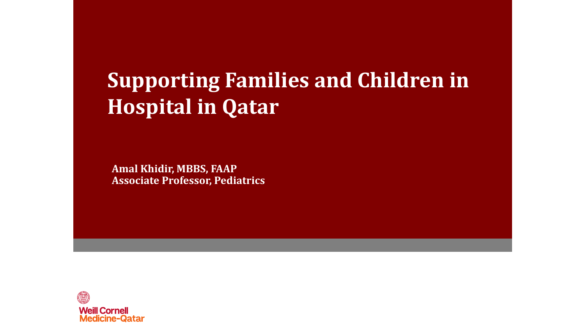#### **Supporting Families and Children in Hospital in Qatar**

**Amal Khidir, MBBS, FAAP Associate Professor, Pediatrics**

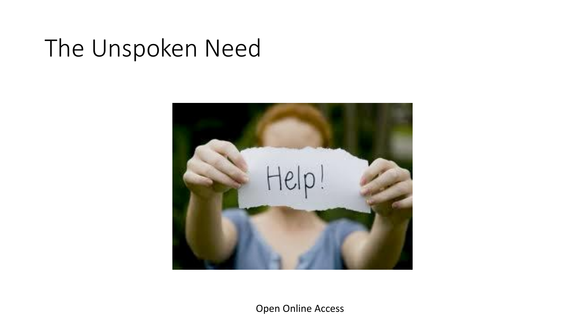## The Unspoken Need



Open Online Access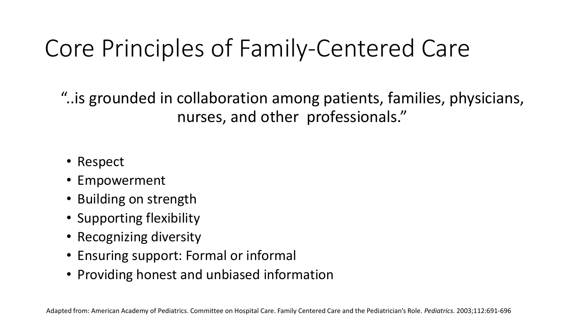# Core Principles of Family-Centered Care

"..is grounded in collaboration among patients, families, physicians, nurses, and other professionals."

- Respect
- Empowerment
- Building on strength
- Supporting flexibility
- Recognizing diversity
- Ensuring support: Formal or informal
- Providing honest and unbiased information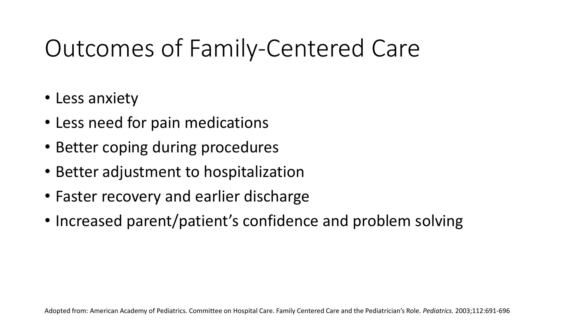# Outcomes of Family-Centered Care

- Less anxiety
- Less need for pain medications
- Better coping during procedures
- Better adjustment to hospitalization
- Faster recovery and earlier discharge
- Increased parent/patient's confidence and problem solving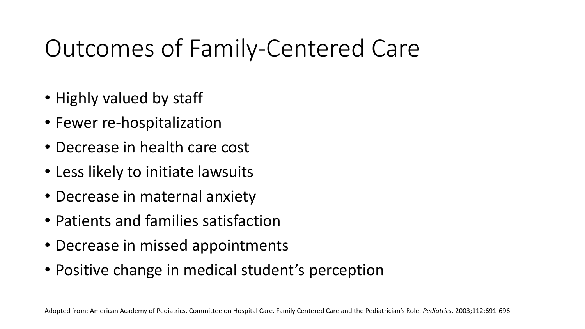# Outcomes of Family-Centered Care

- Highly valued by staff
- Fewer re-hospitalization
- Decrease in health care cost
- Less likely to initiate lawsuits
- Decrease in maternal anxiety
- Patients and families satisfaction
- Decrease in missed appointments
- Positive change in medical student's perception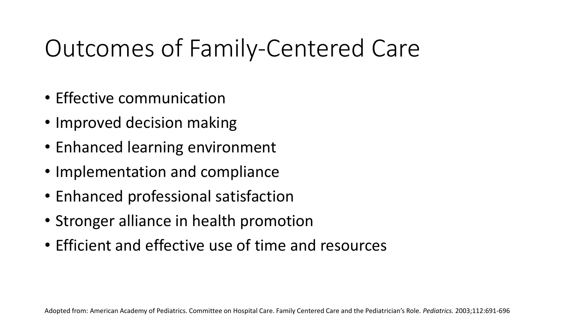# Outcomes of Family-Centered Care

- Effective communication
- Improved decision making
- Enhanced learning environment
- Implementation and compliance
- Enhanced professional satisfaction
- Stronger alliance in health promotion
- Efficient and effective use of time and resources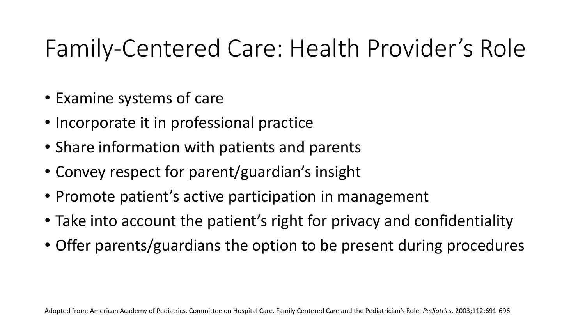# Family-Centered Care: Health Provider's Role

- Examine systems of care
- Incorporate it in professional practice
- Share information with patients and parents
- Convey respect for parent/guardian's insight
- Promote patient's active participation in management
- Take into account the patient's right for privacy and confidentiality
- Offer parents/guardians the option to be present during procedures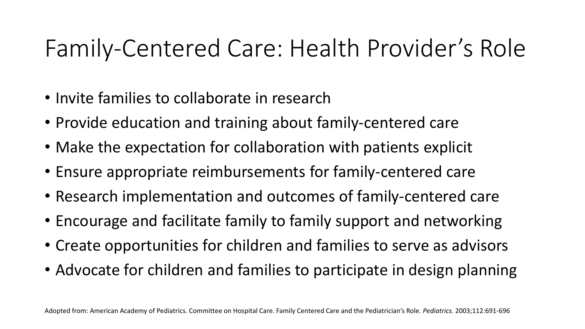## Family-Centered Care: Health Provider's Role

- Invite families to collaborate in research
- Provide education and training about family-centered care
- Make the expectation for collaboration with patients explicit
- Ensure appropriate reimbursements for family-centered care
- Research implementation and outcomes of family-centered care
- Encourage and facilitate family to family support and networking
- Create opportunities for children and families to serve as advisors
- Advocate for children and families to participate in design planning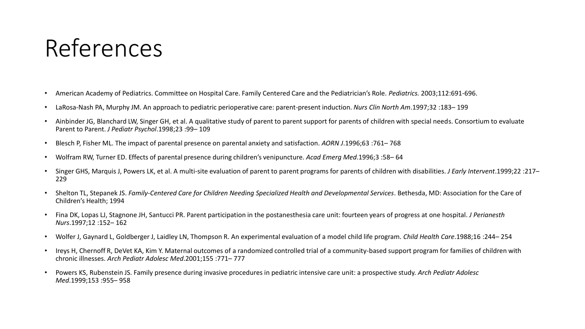#### References

- American Academy of Pediatrics. Committee on Hospital Care. Family Centered Care and the Pediatrician's Role. *Pediatrics.* 2003;112:691-696.
- LaRosa-Nash PA, Murphy JM. An approach to pediatric perioperative care: parent-present induction. *Nurs Clin North Am*.1997;32 :183– 199
- Ainbinder JG, Blanchard LW, Singer GH, et al. A qualitative study of parent to parent support for parents of children with special needs. Consortium to evaluate Parent to Parent. *J Pediatr Psychol*.1998;23 :99– 109
- Blesch P, Fisher ML. The impact of parental presence on parental anxiety and satisfaction. *AORN J*.1996;63 :761– 768
- Wolfram RW, Turner ED. Effects of parental presence during children's venipuncture. *Acad Emerg Med*.1996;3 :58– 64
- Singer GHS, Marquis J, Powers LK, et al. A multi-site evaluation of parent to parent programs for parents of children with disabilities. *J Early Intervent*.1999;22 :217– 229
- Shelton TL, Stepanek JS. *Family-Centered Care for Children Needing Specialized Health and Developmental Services*. Bethesda, MD: Association for the Care of Children's Health; 1994
- Fina DK, Lopas LJ, Stagnone JH, Santucci PR. Parent participation in the postanesthesia care unit: fourteen years of progress at one hospital. *J Perianesth Nurs*.1997;12 :152– 162
- Wolfer J, Gaynard L, Goldberger J, Laidley LN, Thompson R. An experimental evaluation of a model child life program. *Child Health Care*.1988;16 :244– 254
- Ireys H, Chernoff R, DeVet KA, Kim Y. Maternal outcomes of a randomized controlled trial of a community-based support program for families of children with chronic illnesses. *Arch Pediatr Adolesc Med*.2001;155 :771– 777
- Powers KS, Rubenstein JS. Family presence during invasive procedures in pediatric intensive care unit: a prospective study. *Arch Pediatr Adolesc Med*.1999;153 :955– 958